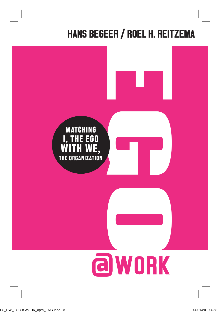# HANS BEGEER / ROEL H. REITZEMA

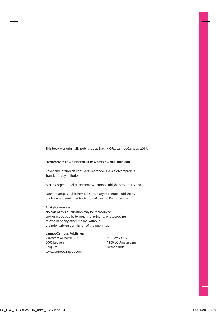This book was originally published as *Ego@WORK*, LannooCampus, 2019.

#### **D/2020/45/146 – ISBN 978 94 014 6825 1 – NUR 807, 808**

Cover and interior design: Gert Degrande | De Witlofcompagnie Translation: Lynn Butler

© Hans Begeer, Roel H. Reitzema & Lannoo Publishers nv, Tielt, 2020.

LannooCampus Publishers is a subsidiary of Lannoo Publishers, the book and multimedia division of Lannoo Publishers nv.

All rights reserved.

No part of this publication may be reproduced and/or made public, by means of printing, photocopying, microfilm or any other means, without the prior written permission of the publisher.

### **LannooCampus Publishers**<br>Vaartkom 41 box 01.02 P.O. Box 23202

3000 Leuven 1100 DS Amsterdam Belgium Netherlands www.lannoocampus.com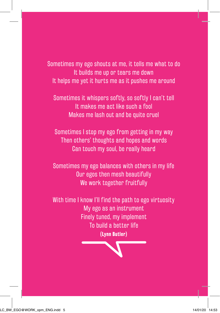Sometimes my ego shouts at me, it tells me what to do It builds me up or tears me down It helps me yet it hurts me as it pushes me around

Sometimes it whispers softly, so softly I can't tell It makes me act like such a fool Makes me lash out and be quite cruel

Sometimes I stop my ego from getting in my way Then others' thoughts and hopes and words Can touch my soul, be really heard

Sometimes my ego balances with others in my life Our egos then mesh beautifully We work together fruitfully

With time I know I'll find the path to ego virtuosity My ego as an instrument Finely tuned, my implement To build a better life **(Lynn Butler)**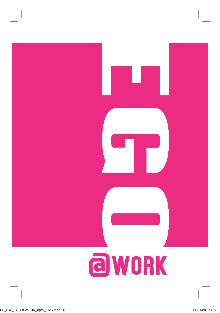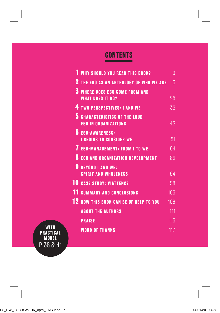## **CONTENTS**

|           | <b>WHY SHOULD YOU READ THIS BOOK?</b>                               | 9   |
|-----------|---------------------------------------------------------------------|-----|
|           | <b>2 THE EGO AS AN ANTHOLOGY OF WHO WE ARE</b>                      | 13  |
|           | <b>3 WHERE DOES EGO COME FROM AND</b><br><b>WHAT DOES IT DO?</b>    | 25  |
|           | <b>4 TWO PERSPECTIVES: I AND WE</b>                                 | 32  |
|           | <b>5 CHARACTERISTICS OF THE LOUD</b><br><b>EGO IN ORGANIZATIONS</b> | 42  |
|           | <b>6 EGO-AWARENESS:</b><br><b>I BEGINS TO CONSIDER WE</b>           | 51  |
|           | <b>7 EGO-MANAGEMENT: FROM I TO WE</b>                               | 64  |
|           | <b>8 EGO AND ORGANIZATION DEVELOPMENT</b>                           | 82  |
|           | <b>BEYOND I AND WE:</b><br><b>SPIRIT AND WHOLENESS</b>              | 94  |
|           | <b>10 CASE STUDY: VIATTENCE</b>                                     | 98  |
|           | <b>11 SUMMARY AND CONCLUSIONS</b>                                   | 103 |
|           | <b>12 HOW THIS BOOK CAN BE OF HELP TO YOU</b>                       | 106 |
|           | <b>ABOUT THE AUTHORS</b>                                            | 111 |
|           | <b>PRAISE</b>                                                       | 113 |
| PRACTICAL | <b>WORD OF THANKS</b>                                               | 117 |

**MODEL** P. 38 & 41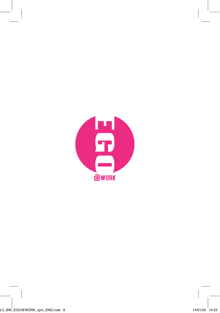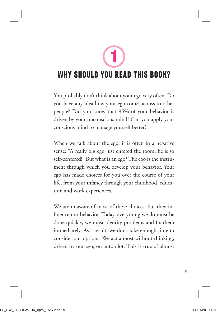**1**

### **WHY SHOULD YOU READ THIS BOOK?**

You probably don't think about your ego very often. Do you have any idea how your ego comes across to other people? Did you know that 95% of your behavior is driven by your unconscious mind? Can you apply your conscious mind to manage yourself better?

When we talk about the ego, it is often in a negative sense: "A really big ego just entered the room; he is so self-centered!" But what is an ego? The ego is the instrument through which you develop your behavior. Your ego has made choices for you over the course of your life, from your infancy through your childhood, education and work experiences.

We are unaware of most of these choices, but they influence our behavior. Today, everything we do must be done quickly, we must identify problems and fix them immediately. As a result, we don't take enough time to consider our options. We act almost without thinking, driven by our ego, on autopilot. This is true of almost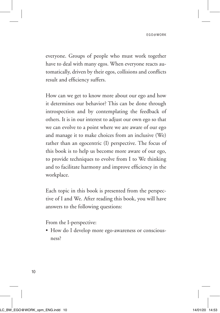everyone. Groups of people who must work together have to deal with many egos. When everyone reacts automatically, driven by their egos, collisions and conflicts result and efficiency suffers.

How can we get to know more about our ego and how it determines our behavior? This can be done through introspection and by contemplating the feedback of others. It is in our interest to adjust our own ego so that we can evolve to a point where we are aware of our ego and manage it to make choices from an inclusive (We) rather than an egocentric (I) perspective. The focus of this book is to help us become more aware of our ego, to provide techniques to evolve from I to We thinking and to facilitate harmony and improve efficiency in the workplace.

Each topic in this book is presented from the perspective of I and We. After reading this book, you will have answers to the following questions:

From the I-perspective:

• How do I develop more ego-awareness or consciousness?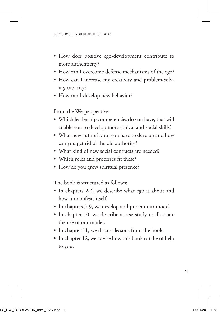- How does positive ego-development contribute to more authenticity?
- How can I overcome defense mechanisms of the ego?
- How can I increase my creativity and problem-solving capacity?
- How can I develop new behavior?

From the We-perspective:

- Which leadership competencies do you have, that will enable you to develop more ethical and social skills?
- What new authority do you have to develop and how can you get rid of the old authority?
- What kind of new social contracts are needed?
- Which roles and processes fit these?
- How do you grow spiritual presence?

The book is structured as follows:

- In chapters 2-4, we describe what ego is about and how it manifests itself.
- In chapters 5-9, we develop and present our model.
- In chapter 10, we describe a case study to illustrate the use of our model.
- In chapter 11, we discuss lessons from the book.
- In chapter 12, we advise how this book can be of help to you.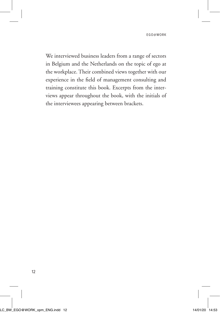We interviewed business leaders from a range of sectors in Belgium and the Netherlands on the topic of ego at the workplace. Their combined views together with our experience in the field of management consulting and training constitute this book. Excerpts from the interviews appear throughout the book, with the initials of the interviewees appearing between brackets.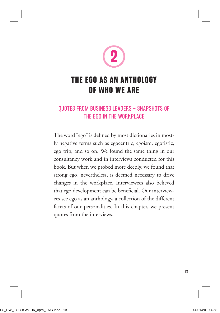

### **THE EGO AS AN ANTHOLOGY OF WHO WE ARE**

#### QUOTES FROM BUSINESS LEADERS – SNAPSHOTS OF THE EGO IN THE WORKPLACE

The word "ego" is defined by most dictionaries in mostly negative terms such as egocentric, egoism, egotistic, ego trip, and so on. We found the same thing in our consultancy work and in interviews conducted for this book. But when we probed more deeply, we found that strong ego, nevertheless, is deemed necessary to drive changes in the workplace. Interviewees also believed that ego development can be beneficial. Our interviewees see ego as an anthology, a collection of the different facets of our personalities. In this chapter, we present quotes from the interviews.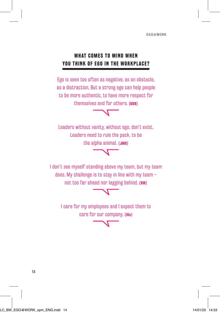#### **WHAT COMES TO MIND WHEN YOU THINK OF EGO IN THE WORKPLACE?**

Ego is seen too often as negative, as an obstacle, as a distraction. But a strong ego can help people to be more authentic, to have more respect for themselves and for others. **(BDB)**



Leaders without vanity, without ego, don't exist. Leaders need to rule the pack, to be the alpha animal. **(JMD)**

I don't see myself standing above my team, but my team does. My challenge is to stay in line with my team – not too far ahead nor lagging behind. **(HW)** 

I care for my employees and I expect them to care for our company. **(IGe)**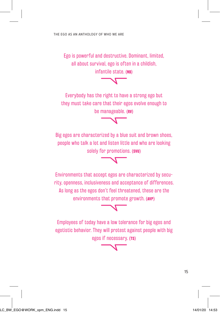Ego is powerful and destructive. Dominant, limited, all about survival, ego is often in a childish, infantile state. **(NB)**

Everybody has the right to have a strong ego but they must take care that their egos evolve enough to be manageable. **(RV)**

Big egos are characterized by a blue suit and brown shoes, people who talk a lot and listen little and who are looking solely for promotions. **(SVU)**

Environments that accept egos are characterized by security, openness, inclusiveness and acceptance of differences. As long as the egos don't feel threatened, these are the environments that promote growth. **(AVP)**

Employees of today have a low tolerance for big egos and egotistic behavior. They will protest against people with big egos if necessary. **(TS)**